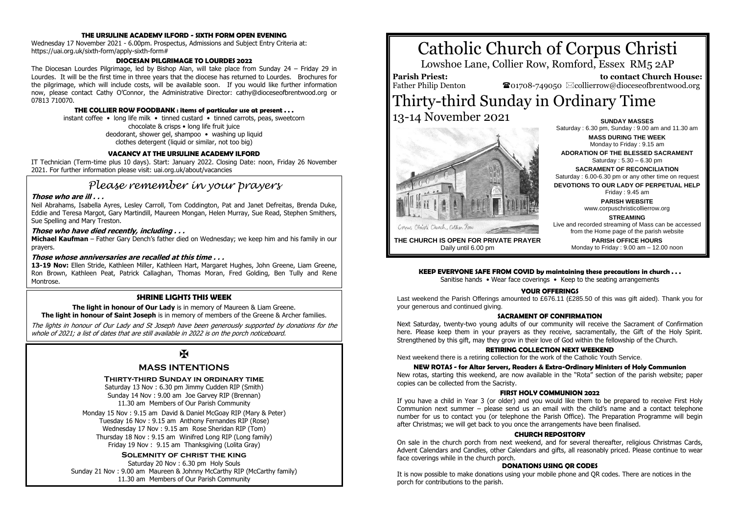### **THE URSULINE ACADEMY ILFORD - SIXTH FORM OPEN EVENING**

Wednesday 17 November 2021 - 6.00pm. Prospectus, Admissions and Subject Entry Criteria at: https://uai.org.uk/sixth-form/apply-sixth-form#

#### **DIOCESAN PILGRIMAGE TO LOURDES 2022**

The Diocesan Lourdes Pilgrimage, led by Bishop Alan, will take place from Sunday 24 – Friday 29 in Lourdes. It will be the first time in three years that the diocese has returned to Lourdes. Brochures for the pilgrimage, which will include costs, will be available soon. If you would like further information now, please contact Cathy O'Connor, the Administrative Director: cathy@dioceseofbrentwood.org or 07813 710070.

#### **THE COLLIER ROW FOODBANK : items of particular use at present . . .**

instant coffee • long life milk • tinned custard • tinned carrots, peas, sweetcorn chocolate & crisps • long life fruit juice deodorant, shower gel, shampoo • washing up liquid clothes detergent (liquid or similar, not too big)

#### **VACANCY AT THE URSULINE ACADEMY ILFORD**

IT Technician (Term-time plus 10 days). Start: January 2022. Closing Date: noon, Friday 26 November 2021. For further information please visit: uai.org.uk/about/vacancies

# *Please remember in your prayers*

#### **Those who are ill . . .**

Neil Abrahams, Isabella Ayres, Lesley Carroll, Tom Coddington, Pat and Janet Defreitas, Brenda Duke, Eddie and Teresa Margot, Gary Martindill, Maureen Mongan, Helen Murray, Sue Read, Stephen Smithers, Sue Spelling and Mary Treston.

#### **Those who have died recently, including . . .**

**Michael Kaufman** – Father Gary Dench's father died on Wednesday; we keep him and his family in our prayers.

#### **Those whose anniversaries are recalled at this time . . .**

**13-19 Nov:** Ellen Stride, Kathleen Miller, Kathleen Hart, Margaret Hughes, John Greene, Liam Greene, Ron Brown, Kathleen Peat, Patrick Callaghan, Thomas Moran, Fred Golding, Ben Tully and Rene Montrose.

#### **SHRINE LIGHTS THIS WEEK**

**The light in honour of Our Lady** is in memory of Maureen & Liam Greene. **The light in honour of Saint Joseph** is in memory of members of the Greene & Archer families.

The lights in honour of Our Lady and St Joseph have been generously supported by donations for the whole of 2021; a list of dates that are still available in 2022 is on the porch noticeboard.

# $\mathbf F$

# **MASS INTENTIONS**

#### **Thirty-third Sunday in ordinary time**

Saturday 13 Nov : 6.30 pm Jimmy Cudden RIP (Smith) Sunday 14 Nov : 9.00 am Joe Garvey RIP (Brennan) 11.30 am Members of Our Parish Community

Monday 15 Nov : 9.15 am David & Daniel McGoay RIP (Mary & Peter) Tuesday 16 Nov : 9.15 am Anthony Fernandes RIP (Rose) Wednesday 17 Nov : 9.15 am Rose Sheridan RIP (Tom) Thursday 18 Nov : 9.15 am Winifred Long RIP (Long family) Friday 19 Nov : 9.15 am Thanksgiving (Lolita Gray)

#### **Solemnity of christ the king**

Saturday 20 Nov : 6.30 pm Holy Souls Sunday 21 Nov : 9.00 am Maureen & Johnny McCarthy RIP (McCarthy family) 11.30 am Members of Our Parish Community

# Catholic Church of Corpus Christi

Lowshoe Lane, Collier Row, Romford, Essex RM5 2AP

**Parish Priest:** Father Philip Denton

 **to contact Church House:**  $\bullet$ 01708-749050  $\boxtimes$ collierrow@dioceseofbrentwood.org

# Thirty-third Sunday in Ordinary Time 13-14 November 2021 **SUNDAY MASSES**



Saturday : 6.30 pm, Sunday : 9.00 am and 11.30 am **MASS DURING THE WEEK** Monday to Friday : 9.15 am **ADORATION OF THE BLESSED SACRAMENT** Saturday : 5.30 – 6.30 pm **SACRAMENT OF RECONCILIATION** Saturday : 6.00-6.30 pm or any other time on request **DEVOTIONS TO OUR LADY OF PERPETUAL HELP** Friday : 9.45 am **PARISH WEBSITE** www.corpuschristicollierrow.org **STREAMING**

**THE CHURCH IS OPEN FOR PRIVATE PRAYER** Daily until 6.00 pm

#### from the Home page of the parish website **PARISH OFFICE HOURS** Monday to Friday : 9.00 am – 12.00 noon

Live and recorded streaming of Mass can be accessed

#### **KEEP EVERYONE SAFE FROM COVID by maintaining these precautions in church . . .**

Sanitise hands • Wear face coverings • Keep to the seating arrangements

#### **YOUR OFFERINGS**

Last weekend the Parish Offerings amounted to £676.11 (£285.50 of this was gift aided). Thank you for your generous and continued giving.

#### **SACRAMENT OF CONFIRMATION**

Next Saturday, twenty-two young adults of our community will receive the Sacrament of Confirmation here. Please keep them in your prayers as they receive, sacramentally, the Gift of the Holy Spirit. Strengthened by this gift, may they grow in their love of God within the fellowship of the Church.

#### **RETIRING COLLECTION NEXT WEEKEND**

Next weekend there is a retiring collection for the work of the Catholic Youth Service.

#### **NEW ROTAS - for Altar Servers, Readers & Extra-Ordinary Ministers of Holy Communion**

New rotas, starting this weekend, are now available in the "Rota" section of the parish website; paper copies can be collected from the Sacristy.

#### **FIRST HOLY COMMUNION 2022**

If you have a child in Year 3 (or older) and you would like them to be prepared to receive First Holy Communion next summer – please send us an email with the child's name and a contact telephone number for us to contact you (or telephone the Parish Office). The Preparation Programme will begin after Christmas; we will get back to you once the arrangements have been finalised.

#### **CHURCH REPOSITORY**

On sale in the church porch from next weekend, and for several thereafter, religious Christmas Cards, Advent Calendars and Candles, other Calendars and gifts, all reasonably priced. Please continue to wear face coverings while in the church porch.

## **DONATIONS USING QR CODES**

It is now possible to make donations using your mobile phone and QR codes. There are notices in the porch for contributions to the parish.